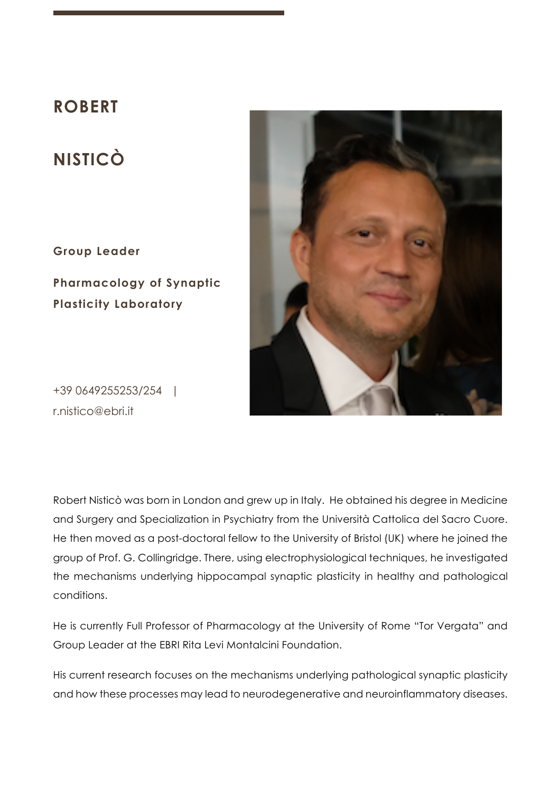# **ROBERT**

# **NISTICÒ**

**Group Leader**

**Pharmacology of Synaptic Plasticity Laboratory**



+39 0649255253/254 | r.nistico@ebri.it

Robert Nisticò was born in London and grew up in Italy. He obtained his degree in Medicine and Surgery and Specialization in Psychiatry from the Università Cattolica del Sacro Cuore. He then moved as a post-doctoral fellow to the University of Bristol (UK) where he joined the group of Prof. G. Collingridge. There, using electrophysiological techniques, he investigated the mechanisms underlying hippocampal synaptic plasticity in healthy and pathological conditions.

He is currently Full Professor of Pharmacology at the University of Rome "Tor Vergata" and Group Leader at the EBRI Rita Levi Montalcini Foundation.

His current research focuses on the mechanisms underlying pathological synaptic plasticity and how these processes may lead to neurodegenerative and neuroinflammatory diseases.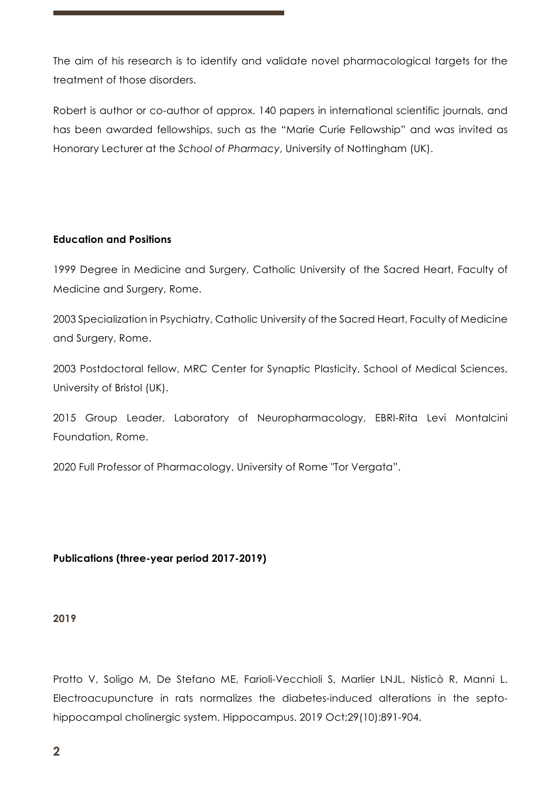The aim of his research is to identify and validate novel pharmacological targets for the treatment of those disorders.

Robert is author or co-author of approx. 140 papers in international scientific journals, and has been awarded fellowships, such as the "Marie Curie Fellowship" and was invited as Honorary Lecturer at the *School of Pharmacy*, University of Nottingham (UK).

## **Education and Positions**

1999 Degree in Medicine and Surgery, Catholic University of the Sacred Heart, Faculty of Medicine and Surgery, Rome.

2003 Specialization in Psychiatry, Catholic University of the Sacred Heart, Faculty of Medicine and Surgery, Rome.

2003 Postdoctoral fellow, MRC Center for Synaptic Plasticity, School of Medical Sciences, University of Bristol (UK).

2015 Group Leader, Laboratory of Neuropharmacology, EBRI-Rita Levi Montalcini Foundation, Rome.

2020 Full Professor of Pharmacology, University of Rome "Tor Vergata".

# **Publications (three-year period 2017-2019)**

#### **2019**

Protto V, Soligo M, De Stefano ME, Farioli-Vecchioli S, Marlier LNJL, Nisticò R, Manni L. Electroacupuncture in rats normalizes the diabetes-induced alterations in the septohippocampal cholinergic system. Hippocampus. 2019 Oct;29(10):891-904.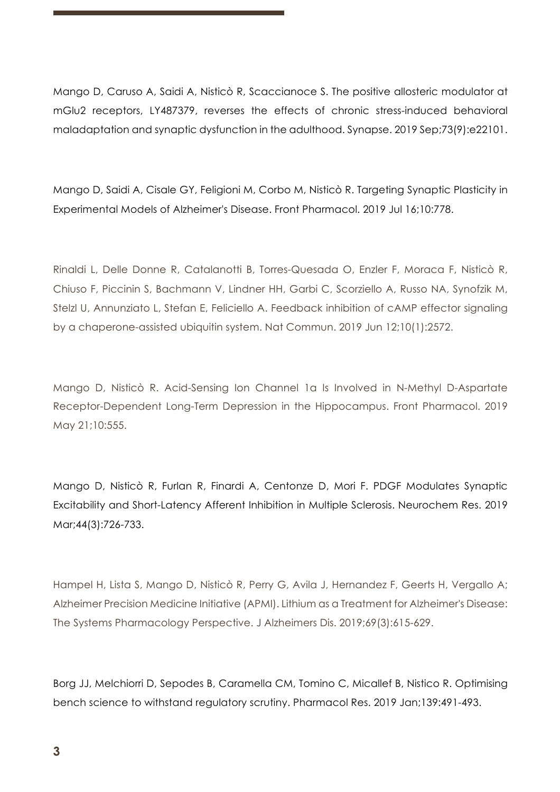Mango D, Caruso A, Saidi A, Nisticò R, Scaccianoce S. The positive allosteric modulator at mGlu2 receptors, LY487379, reverses the effects of chronic stress-induced behavioral maladaptation and synaptic dysfunction in the adulthood. Synapse. 2019 Sep;73(9):e22101.

Mango D, Saidi A, Cisale GY, Feligioni M, Corbo M, Nisticò R. Targeting Synaptic Plasticity in Experimental Models of Alzheimer's Disease. Front Pharmacol. 2019 Jul 16;10:778.

Rinaldi L, Delle Donne R, Catalanotti B, Torres-Quesada O, Enzler F, Moraca F, Nisticò R, Chiuso F, Piccinin S, Bachmann V, Lindner HH, Garbi C, Scorziello A, Russo NA, Synofzik M, Stelzl U, Annunziato L, Stefan E, Feliciello A. Feedback inhibition of cAMP effector signaling by a chaperone-assisted ubiquitin system. Nat Commun. 2019 Jun 12;10(1):2572.

Mango D, Nisticò R. Acid-Sensing Ion Channel 1a Is Involved in N-Methyl D-Aspartate Receptor-Dependent Long-Term Depression in the Hippocampus. Front Pharmacol. 2019 May 21;10:555.

Mango D, Nisticò R, Furlan R, Finardi A, Centonze D, Mori F. PDGF Modulates Synaptic Excitability and Short-Latency Afferent Inhibition in Multiple Sclerosis. Neurochem Res. 2019 Mar;44(3):726-733.

Hampel H, Lista S, Mango D, Nisticò R, Perry G, Avila J, Hernandez F, Geerts H, Vergallo A; Alzheimer Precision Medicine Initiative (APMI). Lithium as a Treatment for Alzheimer's Disease: The Systems Pharmacology Perspective. J Alzheimers Dis. 2019;69(3):615-629.

Borg JJ, Melchiorri D, Sepodes B, Caramella CM, Tomino C, Micallef B, Nistico R. Optimising bench science to withstand regulatory scrutiny. Pharmacol Res. 2019 Jan;139:491-493.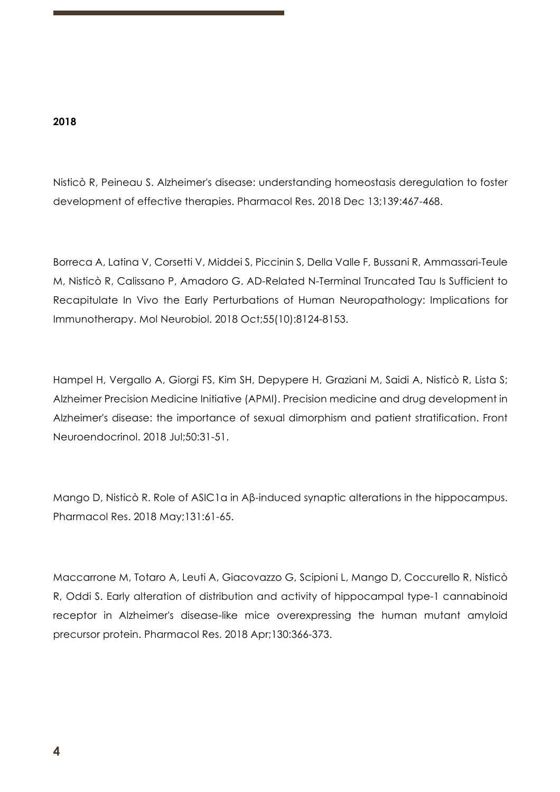### **2018**

Nisticò R, Peineau S. Alzheimer's disease: understanding homeostasis deregulation to foster development of effective therapies. Pharmacol Res. 2018 Dec 13;139:467-468.

Borreca A, Latina V, Corsetti V, Middei S, Piccinin S, Della Valle F, Bussani R, Ammassari-Teule M, Nisticò R, Calissano P, Amadoro G. AD-Related N-Terminal Truncated Tau Is Sufficient to Recapitulate In Vivo the Early Perturbations of Human Neuropathology: Implications for Immunotherapy. Mol Neurobiol. 2018 Oct;55(10):8124-8153.

Hampel H, Vergallo A, Giorgi FS, Kim SH, Depypere H, Graziani M, Saidi A, Nisticò R, Lista S; Alzheimer Precision Medicine Initiative (APMI). Precision medicine and drug development in Alzheimer's disease: the importance of sexual dimorphism and patient stratification. Front Neuroendocrinol. 2018 Jul;50:31-51.

Mango D, Nisticò R. Role of ASIC1a in Aβ-induced synaptic alterations in the hippocampus. Pharmacol Res. 2018 May;131:61-65.

Maccarrone M, Totaro A, Leuti A, Giacovazzo G, Scipioni L, Mango D, Coccurello R, Nisticò R, Oddi S. Early alteration of distribution and activity of hippocampal type-1 cannabinoid receptor in Alzheimer's disease-like mice overexpressing the human mutant amyloid precursor protein. Pharmacol Res. 2018 Apr;130:366-373.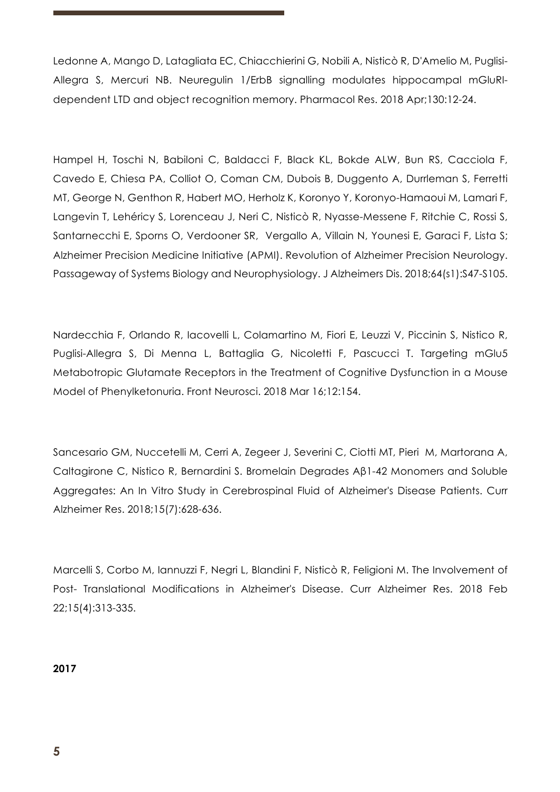Ledonne A, Mango D, Latagliata EC, Chiacchierini G, Nobili A, Nisticò R, D'Amelio M, Puglisi-Allegra S, Mercuri NB. Neuregulin 1/ErbB signalling modulates hippocampal mGluRIdependent LTD and object recognition memory. Pharmacol Res. 2018 Apr;130:12-24.

Hampel H, Toschi N, Babiloni C, Baldacci F, Black KL, Bokde ALW, Bun RS, Cacciola F, Cavedo E, Chiesa PA, Colliot O, Coman CM, Dubois B, Duggento A, Durrleman S, Ferretti MT, George N, Genthon R, Habert MO, Herholz K, Koronyo Y, Koronyo-Hamaoui M, Lamari F, Langevin T, Lehéricy S, Lorenceau J, Neri C, Nisticò R, Nyasse-Messene F, Ritchie C, Rossi S, Santarnecchi E, Sporns O, Verdooner SR, Vergallo A, Villain N, Younesi E, Garaci F, Lista S; Alzheimer Precision Medicine Initiative (APMI). Revolution of Alzheimer Precision Neurology. Passageway of Systems Biology and Neurophysiology. J Alzheimers Dis. 2018;64(s1):S47-S105.

Nardecchia F, Orlando R, Iacovelli L, Colamartino M, Fiori E, Leuzzi V, Piccinin S, Nistico R, Puglisi-Allegra S, Di Menna L, Battaglia G, Nicoletti F, Pascucci T. Targeting mGlu5 Metabotropic Glutamate Receptors in the Treatment of Cognitive Dysfunction in a Mouse Model of Phenylketonuria. Front Neurosci. 2018 Mar 16;12:154.

Sancesario GM, Nuccetelli M, Cerri A, Zegeer J, Severini C, Ciotti MT, Pieri M, Martorana A, Caltagirone C, Nistico R, Bernardini S. Bromelain Degrades Aβ1-42 Monomers and Soluble Aggregates: An In Vitro Study in Cerebrospinal Fluid of Alzheimer's Disease Patients. Curr Alzheimer Res. 2018;15(7):628-636.

Marcelli S, Corbo M, Iannuzzi F, Negri L, Blandini F, Nisticò R, Feligioni M. The Involvement of Post- Translational Modifications in Alzheimer's Disease. Curr Alzheimer Res. 2018 Feb 22;15(4):313-335.

**2017**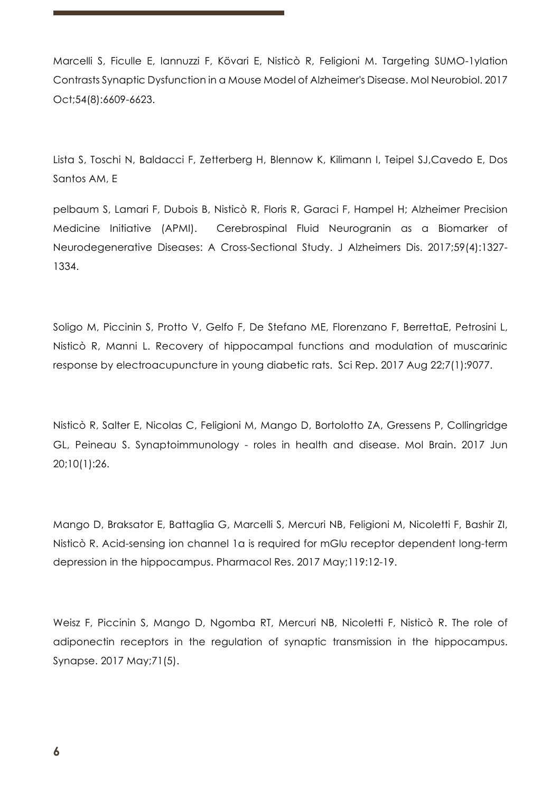Marcelli S, Ficulle E, Iannuzzi F, Kövari E, Nisticò R, Feligioni M. Targeting SUMO-1ylation Contrasts Synaptic Dysfunction in a Mouse Model of Alzheimer's Disease. Mol Neurobiol. 2017 Oct;54(8):6609-6623.

Lista S, Toschi N, Baldacci F, Zetterberg H, Blennow K, Kilimann I, Teipel SJ,Cavedo E, Dos Santos AM, E

pelbaum S, Lamari F, Dubois B, Nisticò R, Floris R, Garaci F, Hampel H; Alzheimer Precision Medicine Initiative (APMI). Cerebrospinal Fluid Neurogranin as a Biomarker of Neurodegenerative Diseases: A Cross-Sectional Study. J Alzheimers Dis. 2017;59(4):1327- 1334.

Soligo M, Piccinin S, Protto V, Gelfo F, De Stefano ME, Florenzano F, BerrettaE, Petrosini L, Nisticò R, Manni L. Recovery of hippocampal functions and modulation of muscarinic response by electroacupuncture in young diabetic rats. Sci Rep. 2017 Aug 22;7(1):9077.

Nisticò R, Salter E, Nicolas C, Feligioni M, Mango D, Bortolotto ZA, Gressens P, Collingridge GL, Peineau S. Synaptoimmunology - roles in health and disease. Mol Brain. 2017 Jun 20;10(1):26.

Mango D, Braksator E, Battaglia G, Marcelli S, Mercuri NB, Feligioni M, Nicoletti F, Bashir ZI, Nisticò R. Acid-sensing ion channel 1a is required for mGlu receptor dependent long-term depression in the hippocampus. Pharmacol Res. 2017 May;119:12-19.

Weisz F, Piccinin S, Mango D, Ngomba RT, Mercuri NB, Nicoletti F, Nisticò R. The role of adiponectin receptors in the regulation of synaptic transmission in the hippocampus. Synapse. 2017 May;71(5).